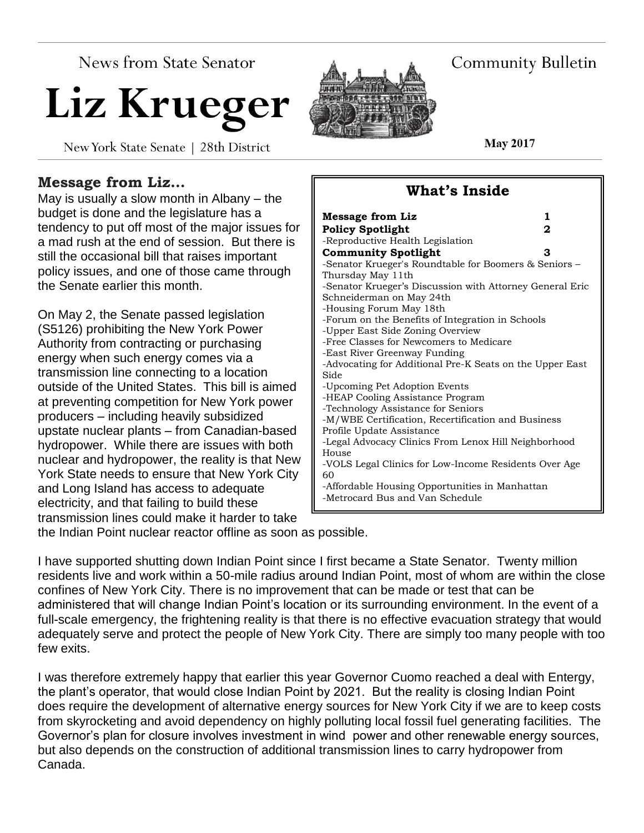News from State Senator

# Liz Krueger

New York State Senate | 28th District



**Community Bulletin** 

**May 2017** 

# **Message from Liz…**

May is usually a slow month in Albany – the budget is done and the legislature has a tendency to put off most of the major issues for a mad rush at the end of session. But there is still the occasional bill that raises important policy issues, and one of those came through the Senate earlier this month.

On May 2, the Senate passed legislation (S5126) prohibiting the New York Power Authority from contracting or purchasing energy when such energy comes via a transmission line connecting to a location outside of the United States. This bill is aimed at preventing competition for New York power producers – including heavily subsidized upstate nuclear plants – from Canadian-based hydropower. While there are issues with both nuclear and hydropower, the reality is that New York State needs to ensure that New York City and Long Island has access to adequate electricity, and that failing to build these transmission lines could make it harder to take

| Message from Liz<br>1                                                                |
|--------------------------------------------------------------------------------------|
| 2<br><b>Policy Spotlight</b>                                                         |
| -Reproductive Health Legislation                                                     |
| <b>Community Spotlight</b><br>3                                                      |
| -Senator Krueger's Roundtable for Boomers & Seniors -<br>Thursday May 11th           |
| -Senator Krueger's Discussion with Attorney General Eric<br>Schneiderman on May 24th |
| -Housing Forum May 18th                                                              |
| -Forum on the Benefits of Integration in Schools<br>-Upper East Side Zoning Overview |
| -Free Classes for Newcomers to Medicare                                              |
| -East River Greenway Funding                                                         |
| -Advocating for Additional Pre-K Seats on the Upper East                             |
| Side                                                                                 |
| -Upcoming Pet Adoption Events                                                        |
| -HEAP Cooling Assistance Program                                                     |
| -Technology Assistance for Seniors                                                   |
| -M/WBE Certification, Recertification and Business                                   |
| Profile Update Assistance                                                            |
| -Legal Advocacy Clinics From Lenox Hill Neighborhood<br>House                        |
|                                                                                      |
| -VOLS Legal Clinics for Low-Income Residents Over Age<br>60                          |
| -Affordable Housing Opportunities in Manhattan<br>-Metrocard Bus and Van Schedule    |

**What's Inside**

the Indian Point nuclear reactor offline as soon as possible.

I have supported shutting down Indian Point since I first became a State Senator. Twenty million residents live and work within a 50-mile radius around Indian Point, most of whom are within the close confines of New York City. There is no improvement that can be made or test that can be administered that will change Indian Point's location or its surrounding environment. In the event of a full-scale emergency, the frightening reality is that there is no effective evacuation strategy that would adequately serve and protect the people of New York City. There are simply too many people with too few exits.

I was therefore extremely happy that earlier this year Governor Cuomo reached a deal with Entergy, the plant's operator, that would close Indian Point by 2021. But the reality is closing Indian Point does require the development of alternative energy sources for New York City if we are to keep costs from skyrocketing and avoid dependency on highly polluting local fossil fuel generating facilities. The Governor's plan for closure involves investment in wind power and other renewable energy sources, but also depends on the construction of additional transmission lines to carry hydropower from Canada.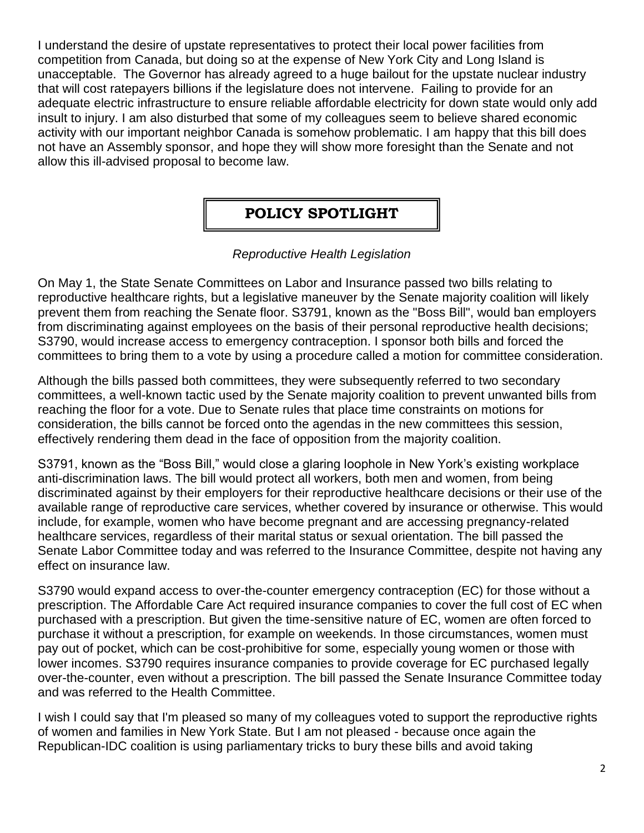I understand the desire of upstate representatives to protect their local power facilities from competition from Canada, but doing so at the expense of New York City and Long Island is unacceptable. The Governor has already agreed to a huge bailout for the upstate nuclear industry that will cost ratepayers billions if the legislature does not intervene. Failing to provide for an adequate electric infrastructure to ensure reliable affordable electricity for down state would only add insult to injury. I am also disturbed that some of my colleagues seem to believe shared economic activity with our important neighbor Canada is somehow problematic. I am happy that this bill does not have an Assembly sponsor, and hope they will show more foresight than the Senate and not allow this ill-advised proposal to become law.

# **POLICY SPOTLIGHT**

# *Reproductive Health Legislation*

On May 1, the State Senate Committees on Labor and Insurance passed two bills relating to reproductive healthcare rights, but a legislative maneuver by the Senate majority coalition will likely prevent them from reaching the Senate floor. S3791, known as the "Boss Bill", would ban employers from discriminating against employees on the basis of their personal reproductive health decisions; S3790, would increase access to emergency contraception. I sponsor both bills and forced the committees to bring them to a vote by using a procedure called a motion for committee consideration.

Although the bills passed both committees, they were subsequently referred to two secondary committees, a well-known tactic used by the Senate majority coalition to prevent unwanted bills from reaching the floor for a vote. Due to Senate rules that place time constraints on motions for consideration, the bills cannot be forced onto the agendas in the new committees this session, effectively rendering them dead in the face of opposition from the majority coalition.

S3791, known as the "Boss Bill," would close a glaring loophole in New York's existing workplace anti-discrimination laws. The bill would protect all workers, both men and women, from being discriminated against by their employers for their reproductive healthcare decisions or their use of the available range of reproductive care services, whether covered by insurance or otherwise. This would include, for example, women who have become pregnant and are accessing pregnancy-related healthcare services, regardless of their marital status or sexual orientation. The bill passed the Senate Labor Committee today and was referred to the Insurance Committee, despite not having any effect on insurance law.

S3790 would expand access to over-the-counter emergency contraception (EC) for those without a prescription. The Affordable Care Act required insurance companies to cover the full cost of EC when purchased with a prescription. But given the time-sensitive nature of EC, women are often forced to purchase it without a prescription, for example on weekends. In those circumstances, women must pay out of pocket, which can be cost-prohibitive for some, especially young women or those with lower incomes. S3790 requires insurance companies to provide coverage for EC purchased legally over-the-counter, even without a prescription. The bill passed the Senate Insurance Committee today and was referred to the Health Committee.

I wish I could say that I'm pleased so many of my colleagues voted to support the reproductive rights of women and families in New York State. But I am not pleased - because once again the Republican-IDC coalition is using parliamentary tricks to bury these bills and avoid taking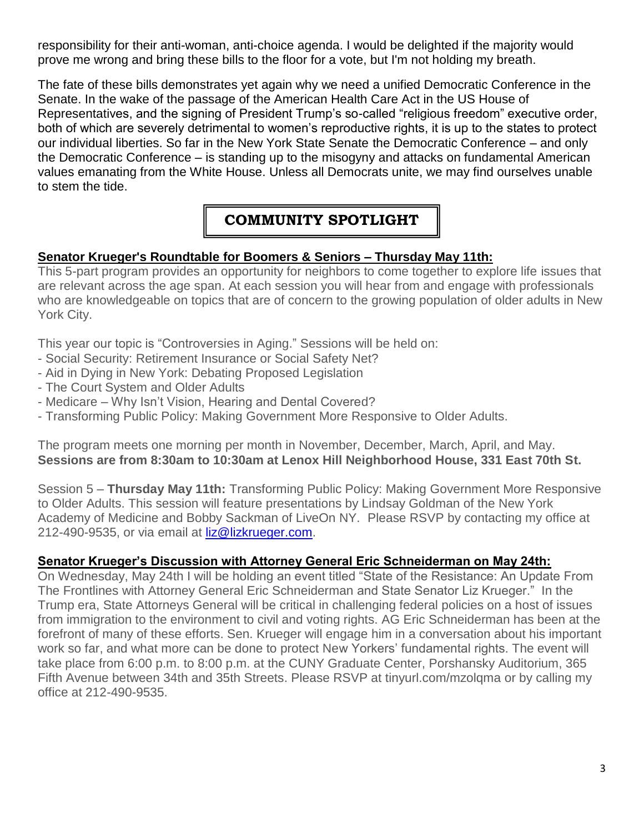responsibility for their anti-woman, anti-choice agenda. I would be delighted if the majority would prove me wrong and bring these bills to the floor for a vote, but I'm not holding my breath.

The fate of these bills demonstrates yet again why we need a unified Democratic Conference in the Senate. In the wake of the passage of the American Health Care Act in the US House of Representatives, and the signing of President Trump's so-called "religious freedom" executive order, both of which are severely detrimental to women's reproductive rights, it is up to the states to protect our individual liberties. So far in the New York State Senate the Democratic Conference – and only the Democratic Conference – is standing up to the misogyny and attacks on fundamental American values emanating from the White House. Unless all Democrats unite, we may find ourselves unable to stem the tide.

# **COMMUNITY SPOTLIGHT**

# **Senator Krueger's Roundtable for Boomers & Seniors – Thursday May 11th:**

This 5-part program provides an opportunity for neighbors to come together to explore life issues that are relevant across the age span. At each session you will hear from and engage with professionals who are knowledgeable on topics that are of concern to the growing population of older adults in New York City.

This year our topic is "Controversies in Aging." Sessions will be held on:

- Social Security: Retirement Insurance or Social Safety Net?
- Aid in Dying in New York: Debating Proposed Legislation
- The Court System and Older Adults
- Medicare Why Isn't Vision, Hearing and Dental Covered?
- Transforming Public Policy: Making Government More Responsive to Older Adults.

The program meets one morning per month in November, December, March, April, and May. **Sessions are from 8:30am to 10:30am at Lenox Hill Neighborhood House, 331 East 70th St.**

Session 5 – **Thursday May 11th:** Transforming Public Policy: Making Government More Responsive to Older Adults. This session will feature presentations by Lindsay Goldman of the New York Academy of Medicine and Bobby Sackman of LiveOn NY. Please RSVP by contacting my office at 212-490-9535, or via email at [liz@lizkrueger.com.](mailto:liz@lizkrueger.com)

#### **Senator Krueger's Discussion with Attorney General Eric Schneiderman on May 24th:**

On Wednesday, May 24th I will be holding an event titled "State of the Resistance: An Update From The Frontlines with Attorney General Eric Schneiderman and State Senator Liz Krueger." In the Trump era, State Attorneys General will be critical in challenging federal policies on a host of issues from immigration to the environment to civil and voting rights. AG Eric Schneiderman has been at the forefront of many of these efforts. Sen. Krueger will engage him in a conversation about his important work so far, and what more can be done to protect New Yorkers' fundamental rights. The event will take place from 6:00 p.m. to 8:00 p.m. at the CUNY Graduate Center, Porshansky Auditorium, 365 Fifth Avenue between 34th and 35th Streets. Please RSVP at tinyurl.com/mzolqma or by calling my office at 212-490-9535.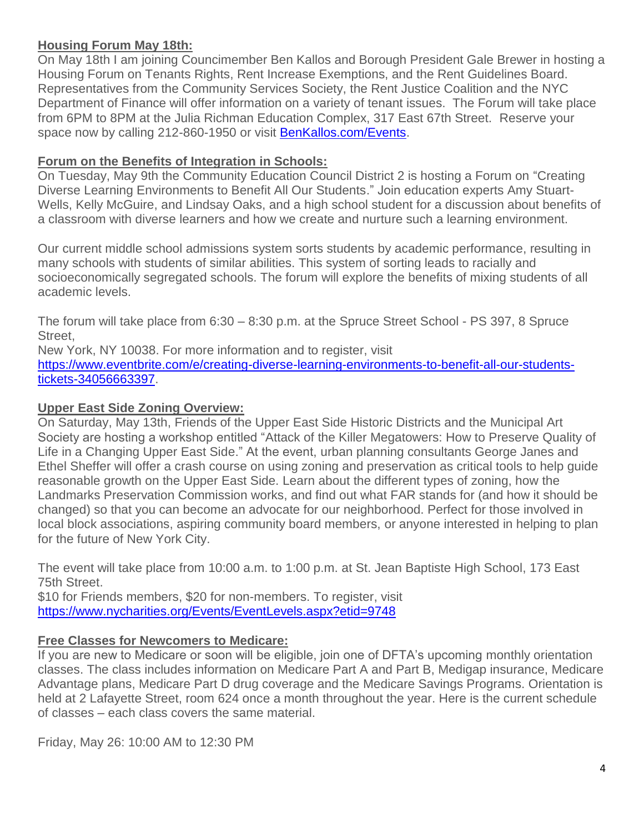#### **Housing Forum May 18th:**

On May 18th I am joining Councimember Ben Kallos and Borough President Gale Brewer in hosting a Housing Forum on Tenants Rights, Rent Increase Exemptions, and the Rent Guidelines Board. Representatives from the Community Services Society, the Rent Justice Coalition and the NYC Department of Finance will offer information on a variety of tenant issues. The Forum will take place from 6PM to 8PM at the Julia Richman Education Complex, 317 East 67th Street. Reserve your space now by calling 212-860-1950 or visit [BenKallos.com/Events.](http://www.benkallos.com/Events)

#### **Forum on the Benefits of Integration in Schools:**

On Tuesday, May 9th the Community Education Council District 2 is hosting a Forum on "Creating Diverse Learning Environments to Benefit All Our Students." Join education experts Amy Stuart-Wells, Kelly McGuire, and Lindsay Oaks, and a high school student for a discussion about benefits of a classroom with diverse learners and how we create and nurture such a learning environment.

Our current middle school admissions system sorts students by academic performance, resulting in many schools with students of similar abilities. This system of sorting leads to racially and socioeconomically segregated schools. The forum will explore the benefits of mixing students of all academic levels.

The forum will take place from 6:30 – 8:30 p.m. at the Spruce Street School - PS 397, 8 Spruce Street,

New York, NY 10038. For more information and to register, visit

[https://www.eventbrite.com/e/creating-diverse-learning-environments-to-benefit-all-our-students](https://www.eventbrite.com/e/creating-diverse-learning-environments-to-benefit-all-our-students-tickets-34056663397)[tickets-34056663397.](https://www.eventbrite.com/e/creating-diverse-learning-environments-to-benefit-all-our-students-tickets-34056663397)

#### **Upper East Side Zoning Overview:**

On Saturday, May 13th, Friends of the Upper East Side Historic Districts and the Municipal Art Society are hosting a workshop entitled "Attack of the Killer Megatowers: How to Preserve Quality of Life in a Changing Upper East Side." At the event, urban planning consultants George Janes and Ethel Sheffer will offer a crash course on using zoning and preservation as critical tools to help guide reasonable growth on the Upper East Side. Learn about the different types of zoning, how the Landmarks Preservation Commission works, and find out what FAR stands for (and how it should be changed) so that you can become an advocate for our neighborhood. Perfect for those involved in local block associations, aspiring community board members, or anyone interested in helping to plan for the future of New York City.

The event will take place from 10:00 a.m. to 1:00 p.m. at St. Jean Baptiste High School, 173 East 75th Street.

\$10 for Friends members, \$20 for non-members. To register, visit <https://www.nycharities.org/Events/EventLevels.aspx?etid=9748>

#### **Free Classes for Newcomers to Medicare:**

If you are new to Medicare or soon will be eligible, join one of DFTA's upcoming monthly orientation classes. The class includes information on Medicare Part A and Part B, Medigap insurance, Medicare Advantage plans, Medicare Part D drug coverage and the Medicare Savings Programs. Orientation is held at 2 Lafayette Street, room 624 once a month throughout the year. Here is the current schedule of classes – each class covers the same material.

Friday, May 26: 10:00 AM to 12:30 PM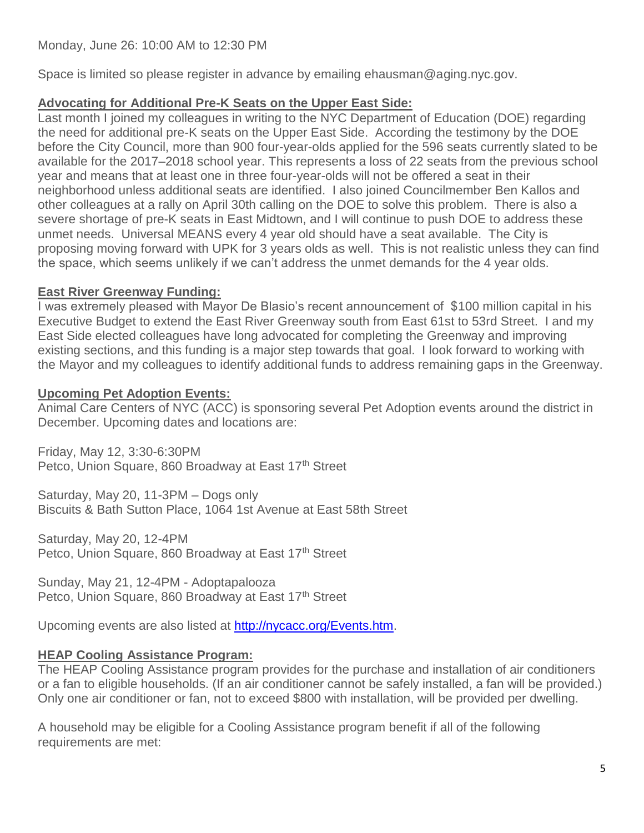Space is limited so please register in advance by emailing ehausman@aging.nyc.gov.

#### **Advocating for Additional Pre-K Seats on the Upper East Side:**

Last month I joined my colleagues in writing to the NYC Department of Education (DOE) regarding the need for additional pre-K seats on the Upper East Side. According the testimony by the DOE before the City Council, more than 900 four-year-olds applied for the 596 seats currently slated to be available for the 2017–2018 school year. This represents a loss of 22 seats from the previous school year and means that at least one in three four-year-olds will not be offered a seat in their neighborhood unless additional seats are identified. I also joined Councilmember Ben Kallos and other colleagues at a rally on April 30th calling on the DOE to solve this problem. There is also a severe shortage of pre-K seats in East Midtown, and I will continue to push DOE to address these unmet needs. Universal MEANS every 4 year old should have a seat available. The City is proposing moving forward with UPK for 3 years olds as well. This is not realistic unless they can find the space, which seems unlikely if we can't address the unmet demands for the 4 year olds.

#### **East River Greenway Funding:**

I was extremely pleased with Mayor De Blasio's recent announcement of \$100 million capital in his Executive Budget to extend the East River Greenway south from East 61st to 53rd Street. I and my East Side elected colleagues have long advocated for completing the Greenway and improving existing sections, and this funding is a major step towards that goal. I look forward to working with the Mayor and my colleagues to identify additional funds to address remaining gaps in the Greenway.

#### **Upcoming Pet Adoption Events:**

Animal Care Centers of NYC (ACC) is sponsoring several Pet Adoption events around the district in December. Upcoming dates and locations are:

Friday, May 12, 3:30-6:30PM Petco, Union Square, 860 Broadway at East 17th Street

Saturday, May 20, 11-3PM – Dogs only Biscuits & Bath Sutton Place, 1064 1st Avenue at East 58th Street

Saturday, May 20, 12-4PM Petco, Union Square, 860 Broadway at East 17<sup>th</sup> Street

Sunday, May 21, 12-4PM - Adoptapalooza Petco, Union Square, 860 Broadway at East 17<sup>th</sup> Street

Upcoming events are also listed at [http://nycacc.org/Events.htm.](http://nycacc.org/Events.htm)

# **HEAP Cooling Assistance Program:**

The HEAP Cooling Assistance program provides for the purchase and installation of air conditioners or a fan to eligible households. (If an air conditioner cannot be safely installed, a fan will be provided.) Only one air conditioner or fan, not to exceed \$800 with installation, will be provided per dwelling.

A household may be eligible for a Cooling Assistance program benefit if all of the following requirements are met: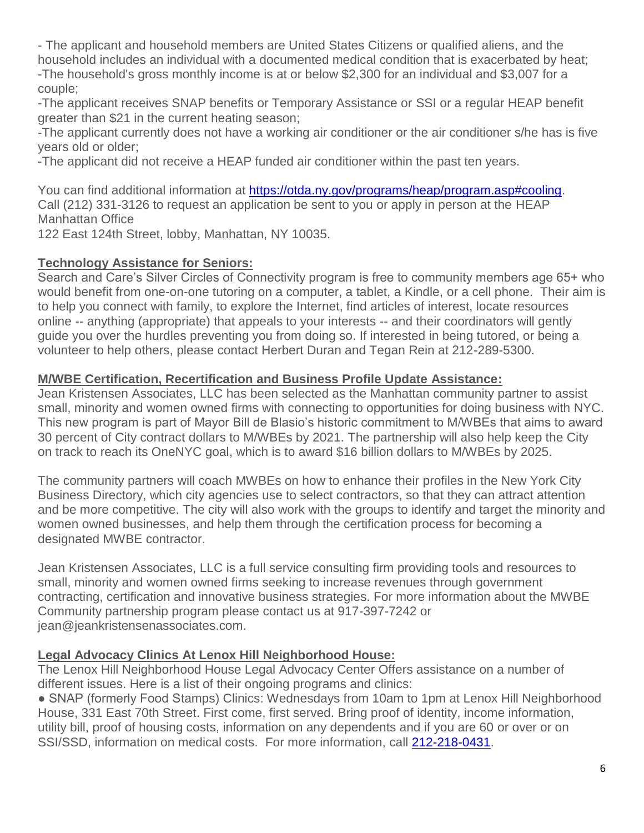- The applicant and household members are United States Citizens or qualified aliens, and the household includes an individual with a documented medical condition that is exacerbated by heat; -The household's gross monthly income is at or below \$2,300 for an individual and \$3,007 for a couple;

-The applicant receives SNAP benefits or Temporary Assistance or SSI or a regular HEAP benefit greater than \$21 in the current heating season;

-The applicant currently does not have a working air conditioner or the air conditioner s/he has is five years old or older;

-The applicant did not receive a HEAP funded air conditioner within the past ten years.

You can find additional information at [https://otda.ny.gov/programs/heap/program.asp#cooling.](https://otda.ny.gov/programs/heap/program.asp#cooling) Call (212) 331-3126 to request an application be sent to you or apply in person at the HEAP Manhattan Office

122 East 124th Street, lobby, Manhattan, NY 10035.

#### **Technology Assistance for Seniors:**

Search and Care's Silver Circles of Connectivity program is free to community members age 65+ who would benefit from one-on-one tutoring on a computer, a tablet, a Kindle, or a cell phone. Their aim is to help you connect with family, to explore the Internet, find articles of interest, locate resources online -- anything (appropriate) that appeals to your interests -- and their coordinators will gently guide you over the hurdles preventing you from doing so. If interested in being tutored, or being a volunteer to help others, please contact Herbert Duran and Tegan Rein at 212-289-5300.

#### **M/WBE Certification, Recertification and Business Profile Update Assistance:**

Jean Kristensen Associates, LLC has been selected as the Manhattan community partner to assist small, minority and women owned firms with connecting to opportunities for doing business with NYC. This new program is part of Mayor Bill de Blasio's historic commitment to M/WBEs that aims to award 30 percent of City contract dollars to M/WBEs by 2021. The partnership will also help keep the City on track to reach its OneNYC goal, which is to award \$16 billion dollars to M/WBEs by 2025.

The community partners will coach MWBEs on how to enhance their profiles in the New York City Business Directory, which city agencies use to select contractors, so that they can attract attention and be more competitive. The city will also work with the groups to identify and target the minority and women owned businesses, and help them through the certification process for becoming a designated MWBE contractor.

Jean Kristensen Associates, LLC is a full service consulting firm providing tools and resources to small, minority and women owned firms seeking to increase revenues through government contracting, certification and innovative business strategies. For more information about the MWBE Community partnership program please contact us at 917-397-7242 or jean@jeankristensenassociates.com.

# **Legal Advocacy Clinics At Lenox Hill Neighborhood House:**

The Lenox Hill Neighborhood House Legal Advocacy Center Offers assistance on a number of different issues. Here is a list of their ongoing programs and clinics:

• SNAP (formerly Food Stamps) Clinics: Wednesdays from 10am to 1pm at Lenox Hill Neighborhood House, 331 East 70th Street. First come, first served. Bring proof of identity, income information, utility bill, proof of housing costs, information on any dependents and if you are 60 or over or on SSI/SSD, information on medical costs. For more information, call [212-218-0431.](tel:212-218-0431)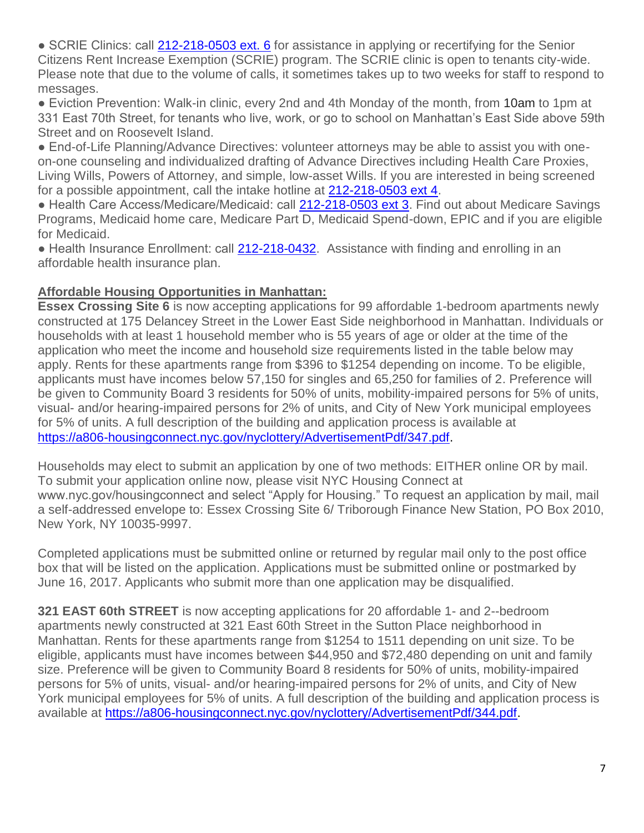■ SCRIE Clinics: call [212-218-0503 ext. 6](tel:212-218-0503%20ext.%206) for assistance in applying or recertifying for the Senior Citizens Rent Increase Exemption (SCRIE) program. The SCRIE clinic is open to tenants city-wide. Please note that due to the volume of calls, it sometimes takes up to two weeks for staff to respond to messages.

● Eviction Prevention: Walk-in clinic, every 2nd and 4th Monday of the month, from 10am to 1pm at 331 East 70th Street, for tenants who live, work, or go to school on Manhattan's East Side above 59th Street and on Roosevelt Island.

● End-of-Life Planning/Advance Directives: volunteer attorneys may be able to assist you with oneon-one counseling and individualized drafting of Advance Directives including Health Care Proxies, Living Wills, Powers of Attorney, and simple, low-asset Wills. If you are interested in being screened for a possible appointment, call the intake hotline at [212-218-0503 ext 4.](tel:212-218-0503%20ext%204)

● Health Care Access/Medicare/Medicaid: call [212-218-0503 ext 3.](tel:212-218-0503%20ext%203) Find out about Medicare Savings Programs, Medicaid home care, Medicare Part D, Medicaid Spend-down, EPIC and if you are eligible for Medicaid.

• Health Insurance Enrollment: call [212-218-0432.](tel:212-218-0432) Assistance with finding and enrolling in an affordable health insurance plan.

#### **Affordable Housing Opportunities in Manhattan:**

**Essex Crossing Site 6** is now accepting applications for 99 affordable 1-bedroom apartments newly constructed at 175 Delancey Street in the Lower East Side neighborhood in Manhattan. Individuals or households with at least 1 household member who is 55 years of age or older at the time of the application who meet the income and household size requirements listed in the table below may apply. Rents for these apartments range from \$396 to \$1254 depending on income. To be eligible, applicants must have incomes below 57,150 for singles and 65,250 for families of 2. Preference will be given to Community Board 3 residents for 50% of units, mobility-impaired persons for 5% of units, visual- and/or hearing-impaired persons for 2% of units, and City of New York municipal employees for 5% of units. A full description of the building and application process is available at [https://a806-housingconnect.nyc.gov/nyclottery/AdvertisementPdf/347.pdf.](https://a806-housingconnect.nyc.gov/nyclottery/AdvertisementPdf/347.pdf)

Households may elect to submit an application by one of two methods: EITHER online OR by mail. To submit your application online now, please visit NYC Housing Connect at www.nyc.gov/housingconnect and select "Apply for Housing." To request an application by mail, mail a self-addressed envelope to: Essex Crossing Site 6/ Triborough Finance New Station, PO Box 2010, New York, NY 10035-9997.

Completed applications must be submitted online or returned by regular mail only to the post office box that will be listed on the application. Applications must be submitted online or postmarked by June 16, 2017. Applicants who submit more than one application may be disqualified.

**321 EAST 60th STREET** is now accepting applications for 20 affordable 1- and 2--bedroom apartments newly constructed at 321 East 60th Street in the Sutton Place neighborhood in Manhattan. Rents for these apartments range from \$1254 to 1511 depending on unit size. To be eligible, applicants must have incomes between \$44,950 and \$72,480 depending on unit and family size. Preference will be given to Community Board 8 residents for 50% of units, mobility-impaired persons for 5% of units, visual- and/or hearing-impaired persons for 2% of units, and City of New York municipal employees for 5% of units. A full description of the building and application process is available at [https://a806-housingconnect.nyc.gov/nyclottery/AdvertisementPdf/344.pdf.](https://a806-housingconnect.nyc.gov/nyclottery/AdvertisementPdf/344.pdf)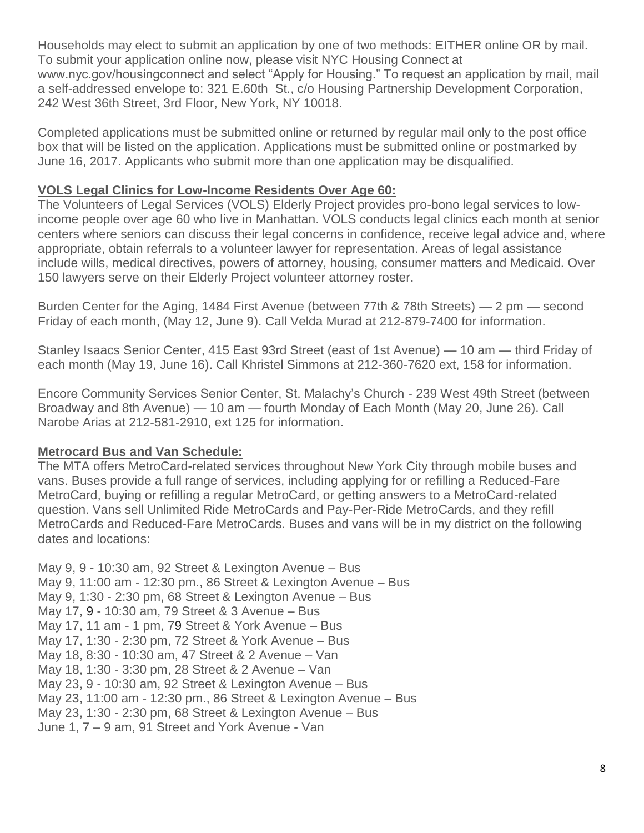Households may elect to submit an application by one of two methods: EITHER online OR by mail. To submit your application online now, please visit NYC Housing Connect at www.nyc.gov/housingconnect and select "Apply for Housing." To request an application by mail, mail a self-addressed envelope to: 321 E.60th St., c/o Housing Partnership Development Corporation, 242 West 36th Street, 3rd Floor, New York, NY 10018.

Completed applications must be submitted online or returned by regular mail only to the post office box that will be listed on the application. Applications must be submitted online or postmarked by June 16, 2017. Applicants who submit more than one application may be disqualified.

#### **VOLS Legal Clinics for Low-Income Residents Over Age 60:**

The Volunteers of Legal Services (VOLS) Elderly Project provides pro-bono legal services to lowincome people over age 60 who live in Manhattan. VOLS conducts legal clinics each month at senior centers where seniors can discuss their legal concerns in confidence, receive legal advice and, where appropriate, obtain referrals to a volunteer lawyer for representation. Areas of legal assistance include wills, medical directives, powers of attorney, housing, consumer matters and Medicaid. Over 150 lawyers serve on their Elderly Project volunteer attorney roster.

Burden Center for the Aging, 1484 First Avenue (between 77th & 78th Streets) — 2 pm — second Friday of each month, (May 12, June 9). Call Velda Murad at 212-879-7400 for information.

Stanley Isaacs Senior Center, 415 East 93rd Street (east of 1st Avenue) — 10 am — third Friday of each month (May 19, June 16). Call Khristel Simmons at 212-360-7620 ext, 158 for information.

Encore Community Services Senior Center, St. Malachy's Church - 239 West 49th Street (between Broadway and 8th Avenue) — 10 am — fourth Monday of Each Month (May 20, June 26). Call Narobe Arias at 212-581-2910, ext 125 for information.

#### **Metrocard Bus and Van Schedule:**

The MTA offers MetroCard-related services throughout New York City through mobile buses and vans. Buses provide a full range of services, including applying for or refilling a Reduced-Fare MetroCard, buying or refilling a regular MetroCard, or getting answers to a MetroCard-related question. Vans sell Unlimited Ride MetroCards and Pay-Per-Ride MetroCards, and they refill MetroCards and Reduced-Fare MetroCards. Buses and vans will be in my district on the following dates and locations:

May 9, 9 - 10:30 am, 92 Street & Lexington Avenue – Bus May 9, 11:00 am - 12:30 pm., 86 Street & Lexington Avenue – Bus May 9, 1:30 - 2:30 pm, 68 Street & Lexington Avenue – Bus May 17, 9 - 10:30 am, 79 Street & 3 Avenue – Bus May 17, 11 am - 1 pm, 79 Street & York Avenue – Bus May 17, 1:30 - 2:30 pm, 72 Street & York Avenue – Bus May 18, 8:30 - 10:30 am, 47 Street & 2 Avenue – Van May 18, 1:30 - 3:30 pm, 28 Street & 2 Avenue – Van May 23, 9 - 10:30 am, 92 Street & Lexington Avenue – Bus May 23, 11:00 am - 12:30 pm., 86 Street & Lexington Avenue – Bus May 23, 1:30 - 2:30 pm, 68 Street & Lexington Avenue – Bus June 1, 7 – 9 am, 91 Street and York Avenue - Van